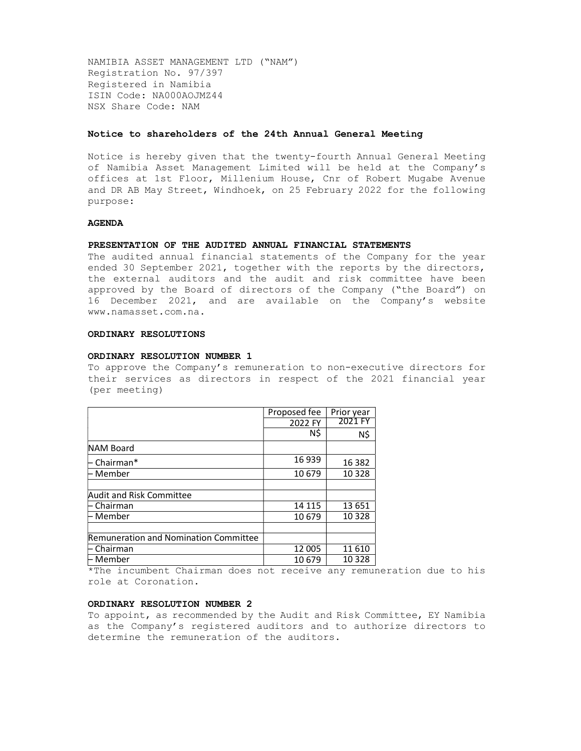NAMIBIA ASSET MANAGEMENT LTD ("NAM") Registration No. 97/397 Registered in Namibia ISIN Code: NA000AOJMZ44 NSX Share Code: NAM

#### Notice to shareholders of the 24th Annual General Meeting

Notice is hereby given that the twenty-fourth Annual General Meeting of Namibia Asset Management Limited will be held at the Company's offices at 1st Floor, Millenium House, Cnr of Robert Mugabe Avenue and DR AB May Street, Windhoek, on 25 February 2022 for the following purpose:

#### AGENDA

#### PRESENTATION OF THE AUDITED ANNUAL FINANCIAL STATEMENTS

The audited annual financial statements of the Company for the year ended 30 September 2021, together with the reports by the directors, the external auditors and the audit and risk committee have been approved by the Board of directors of the Company ("the Board") on 16 December 2021, and are available on the Company's website www.namasset.com.na.

## ORDINARY RESOLUTIONS

## ORDINARY RESOLUTION NUMBER 1

To approve the Company's remuneration to non-executive directors for their services as directors in respect of the 2021 financial year (per meeting)

|                                       | Proposed fee | Prior year |
|---------------------------------------|--------------|------------|
|                                       | 2022 FY      | 2021 FY    |
|                                       | N\$          | N\$        |
| <b>NAM Board</b>                      |              |            |
| ⊢ Chairman*                           | 16939        | 16 3 82    |
| ⊢ Member                              | 10 679       | 10 3 28    |
|                                       |              |            |
| <b>Audit and Risk Committee</b>       |              |            |
| ⊢ Chairman                            | 14 115       | 13 651     |
| ⊢ Member                              | 10 679       | 10 3 28    |
|                                       |              |            |
| Remuneration and Nomination Committee |              |            |
| $\vdash$ Chairman                     | 12 005       | 11610      |
| ⊢ Member                              | 10679        | 10 3 28    |

\*The incumbent Chairman does not receive any remuneration due to his role at Coronation.

## ORDINARY RESOLUTION NUMBER 2

To appoint, as recommended by the Audit and Risk Committee, EY Namibia as the Company's registered auditors and to authorize directors to determine the remuneration of the auditors.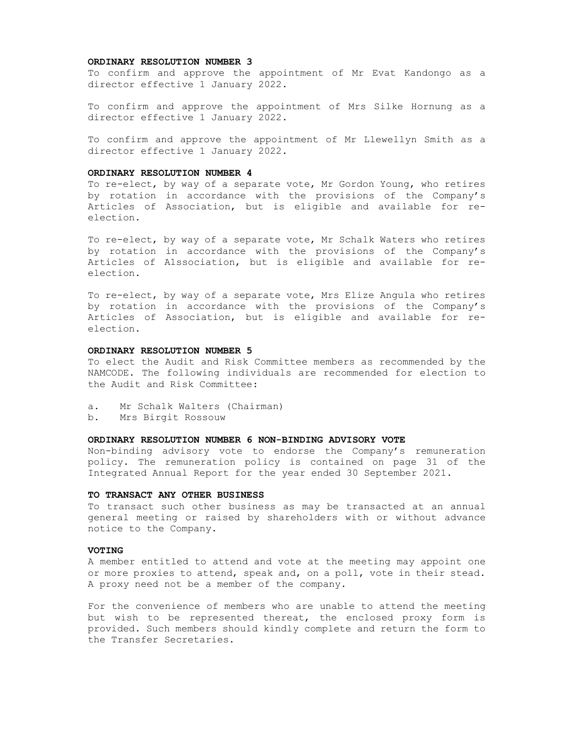#### ORDINARY RESOLUTION NUMBER 3

To confirm and approve the appointment of Mr Evat Kandongo as a director effective 1 January 2022.

To confirm and approve the appointment of Mrs Silke Hornung as a director effective 1 January 2022.

To confirm and approve the appointment of Mr Llewellyn Smith as a director effective 1 January 2022.

### ORDINARY RESOLUTION NUMBER 4

To re-elect, by way of a separate vote, Mr Gordon Young, who retires by rotation in accordance with the provisions of the Company's Articles of Association, but is eligible and available for reelection.

To re-elect, by way of a separate vote, Mr Schalk Waters who retires by rotation in accordance with the provisions of the Company's Articles of A1ssociation, but is eligible and available for reelection.

To re-elect, by way of a separate vote, Mrs Elize Angula who retires by rotation in accordance with the provisions of the Company's Articles of Association, but is eligible and available for reelection.

# ORDINARY RESOLUTION NUMBER 5

To elect the Audit and Risk Committee members as recommended by the NAMCODE. The following individuals are recommended for election to the Audit and Risk Committee:

- a. Mr Schalk Walters (Chairman)
- b. Mrs Birgit Rossouw

## ORDINARY RESOLUTION NUMBER 6 NON-BINDING ADVISORY VOTE

Non-binding advisory vote to endorse the Company's remuneration policy. The remuneration policy is contained on page 31 of the Integrated Annual Report for the year ended 30 September 2021.

#### TO TRANSACT ANY OTHER BUSINESS

To transact such other business as may be transacted at an annual general meeting or raised by shareholders with or without advance notice to the Company.

#### VOTING

A member entitled to attend and vote at the meeting may appoint one or more proxies to attend, speak and, on a poll, vote in their stead. A proxy need not be a member of the company.

For the convenience of members who are unable to attend the meeting but wish to be represented thereat, the enclosed proxy form is provided. Such members should kindly complete and return the form to the Transfer Secretaries.